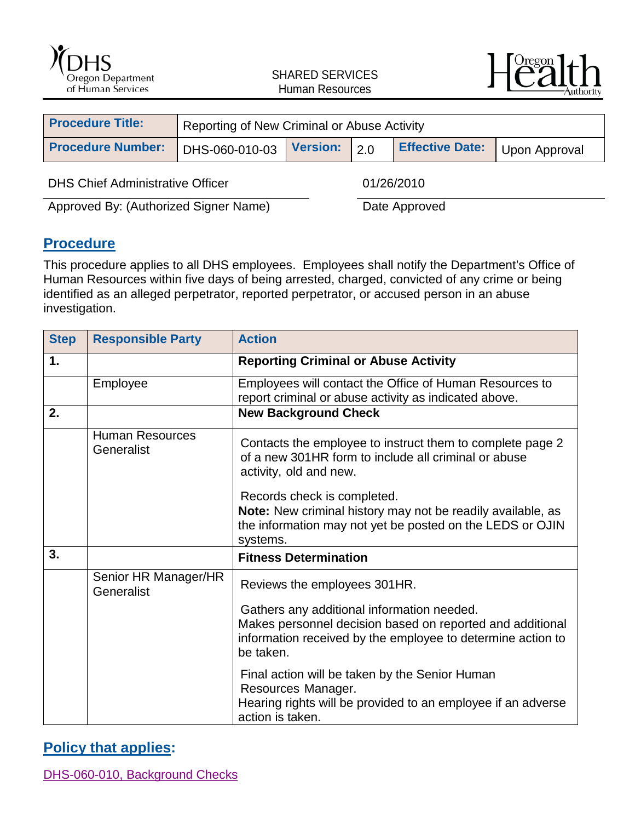



| <b>Procedure Title:</b>  | Reporting of New Criminal or Abuse Activity |  |  |                        |               |
|--------------------------|---------------------------------------------|--|--|------------------------|---------------|
| <b>Procedure Number:</b> | DHS-060-010-03 Version: 2.0                 |  |  | <b>Effective Date:</b> | Upon Approval |
|                          |                                             |  |  |                        |               |

DHS Chief Administrative Officer 01/26/2010

Approved By: (Authorized Signer Name) Date Approved

### **Procedure**

This procedure applies to all DHS employees. Employees shall notify the Department's Office of Human Resources within five days of being arrested, charged, convicted of any crime or being identified as an alleged perpetrator, reported perpetrator, or accused person in an abuse investigation.

| <b>Step</b> | <b>Responsible Party</b>             | <b>Action</b>                                                                                                                                                                       |
|-------------|--------------------------------------|-------------------------------------------------------------------------------------------------------------------------------------------------------------------------------------|
| 1.          |                                      | <b>Reporting Criminal or Abuse Activity</b>                                                                                                                                         |
|             | Employee                             | Employees will contact the Office of Human Resources to<br>report criminal or abuse activity as indicated above.                                                                    |
| 2.          |                                      | <b>New Background Check</b>                                                                                                                                                         |
|             | <b>Human Resources</b><br>Generalist | Contacts the employee to instruct them to complete page 2<br>of a new 301HR form to include all criminal or abuse<br>activity, old and new.                                         |
|             |                                      | Records check is completed.<br>Note: New criminal history may not be readily available, as<br>the information may not yet be posted on the LEDS or OJIN<br>systems.                 |
| 3.          |                                      | <b>Fitness Determination</b>                                                                                                                                                        |
|             | Senior HR Manager/HR<br>Generalist   | Reviews the employees 301HR.                                                                                                                                                        |
|             |                                      | Gathers any additional information needed.<br>Makes personnel decision based on reported and additional<br>information received by the employee to determine action to<br>be taken. |
|             |                                      | Final action will be taken by the Senior Human<br>Resources Manager.<br>Hearing rights will be provided to an employee if an adverse<br>action is taken.                            |

#### **Policy that applies:**

[DHS-060-010, Background Checks](http://www.dhs.state.or.us/policy/admin/hr/060_010.pdf)